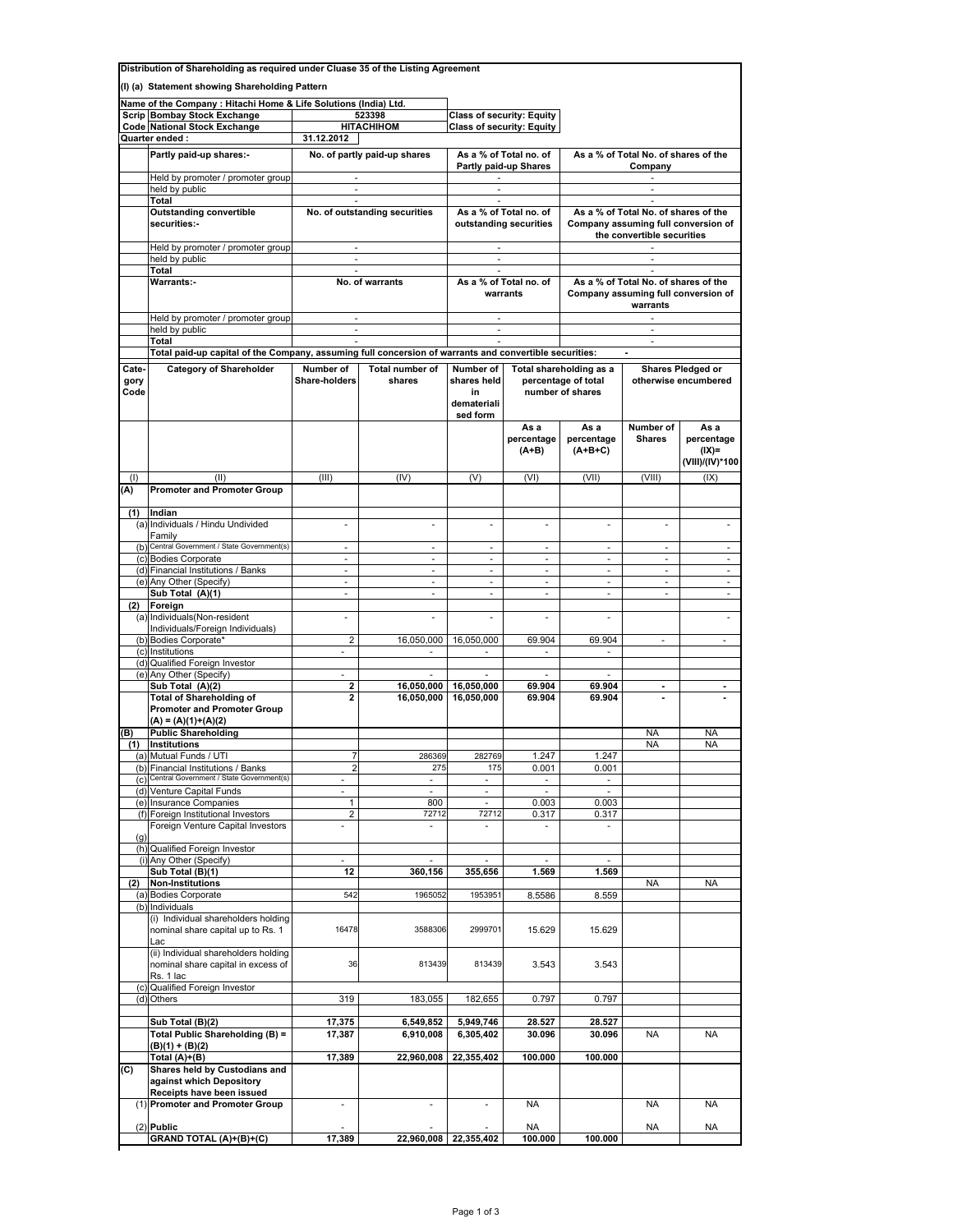| Distribution of Shareholding as required under Cluase 35 of the Listing Agreement |                                                                                                        |                                                                 |                               |                          |                                  |                                             |                                      |                          |  |  |
|-----------------------------------------------------------------------------------|--------------------------------------------------------------------------------------------------------|-----------------------------------------------------------------|-------------------------------|--------------------------|----------------------------------|---------------------------------------------|--------------------------------------|--------------------------|--|--|
| (I) (a) Statement showing Shareholding Pattern                                    |                                                                                                        |                                                                 |                               |                          |                                  |                                             |                                      |                          |  |  |
|                                                                                   |                                                                                                        |                                                                 |                               |                          |                                  |                                             |                                      |                          |  |  |
|                                                                                   |                                                                                                        | Name of the Company: Hitachi Home & Life Solutions (India) Ltd. |                               |                          |                                  |                                             |                                      |                          |  |  |
|                                                                                   | <b>Scrip Bombay Stock Exchange</b>                                                                     |                                                                 | 523398                        |                          | <b>Class of security: Equity</b> |                                             |                                      |                          |  |  |
|                                                                                   | <b>Code National Stock Exchange</b>                                                                    |                                                                 | <b>НІТАСНІНОМ</b>             |                          | Class of security: Equity        |                                             |                                      |                          |  |  |
|                                                                                   | Quarter ended:                                                                                         | 31.12.2012                                                      |                               |                          |                                  |                                             |                                      |                          |  |  |
|                                                                                   | Partly paid-up shares:-                                                                                |                                                                 | No. of partly paid-up shares  | As a % of Total no. of   |                                  | As a % of Total No. of shares of the        |                                      |                          |  |  |
|                                                                                   |                                                                                                        |                                                                 |                               | Partly paid-up Shares    |                                  | Company                                     |                                      |                          |  |  |
|                                                                                   | Held by promoter / promoter group                                                                      | ×.                                                              |                               | $\overline{\phantom{a}}$ |                                  |                                             |                                      |                          |  |  |
|                                                                                   | held by public                                                                                         |                                                                 |                               |                          |                                  |                                             |                                      |                          |  |  |
|                                                                                   | Total                                                                                                  | ×.                                                              |                               | ×,                       |                                  | ä,                                          |                                      |                          |  |  |
|                                                                                   | <b>Outstanding convertible</b>                                                                         |                                                                 | No. of outstanding securities | As a % of Total no. of   |                                  |                                             | As a % of Total No. of shares of the |                          |  |  |
|                                                                                   | securities:-                                                                                           |                                                                 |                               | outstanding securities   |                                  | Company assuming full conversion of         |                                      |                          |  |  |
|                                                                                   |                                                                                                        |                                                                 |                               |                          |                                  | the convertible securities                  |                                      |                          |  |  |
|                                                                                   | Held by promoter / promoter group                                                                      | ×.                                                              |                               | ×.                       |                                  | ÷.                                          |                                      |                          |  |  |
|                                                                                   | held by public                                                                                         |                                                                 |                               | ä,                       |                                  |                                             |                                      |                          |  |  |
|                                                                                   | Total                                                                                                  | ÷                                                               |                               | ÷,                       |                                  |                                             |                                      |                          |  |  |
|                                                                                   | Warrants:-                                                                                             |                                                                 | No. of warrants               | As a % of Total no. of   |                                  | As a % of Total No. of shares of the        |                                      |                          |  |  |
|                                                                                   |                                                                                                        |                                                                 |                               | warrants                 |                                  | Company assuming full conversion of         |                                      |                          |  |  |
|                                                                                   |                                                                                                        |                                                                 |                               |                          |                                  | warrants                                    |                                      |                          |  |  |
|                                                                                   | Held by promoter / promoter group                                                                      | ×.                                                              |                               | ×.                       |                                  |                                             |                                      |                          |  |  |
|                                                                                   | held by public                                                                                         |                                                                 |                               |                          |                                  |                                             |                                      |                          |  |  |
|                                                                                   | Total                                                                                                  | $\sim$                                                          |                               | $\sim$                   |                                  | $\sim$                                      |                                      |                          |  |  |
|                                                                                   | Total paid-up capital of the Company, assuming full concersion of warrants and convertible securities: |                                                                 |                               |                          |                                  |                                             |                                      |                          |  |  |
|                                                                                   |                                                                                                        |                                                                 |                               |                          |                                  |                                             |                                      |                          |  |  |
| Cate-                                                                             | <b>Category of Shareholder</b>                                                                         | Number of                                                       | Total number of               | Number of                |                                  | Total shareholding as a                     | Shares Pledged or                    |                          |  |  |
| gory                                                                              |                                                                                                        | Share-holders                                                   | shares                        | shares held              |                                  | percentage of total<br>otherwise encumbered |                                      |                          |  |  |
| Code                                                                              |                                                                                                        |                                                                 |                               | in                       |                                  | number of shares                            |                                      |                          |  |  |
|                                                                                   |                                                                                                        |                                                                 |                               | demateriali              |                                  |                                             |                                      |                          |  |  |
|                                                                                   |                                                                                                        |                                                                 |                               | sed form                 |                                  |                                             |                                      |                          |  |  |
|                                                                                   |                                                                                                        |                                                                 |                               |                          | As a                             | As a                                        | Number of                            | As a                     |  |  |
|                                                                                   |                                                                                                        |                                                                 |                               |                          | percentage                       | percentage                                  | <b>Shares</b>                        | percentage               |  |  |
|                                                                                   |                                                                                                        |                                                                 |                               |                          | $(A+B)$                          | $(A+B+C)$                                   |                                      | $(IX)=$                  |  |  |
|                                                                                   |                                                                                                        |                                                                 |                               |                          |                                  |                                             |                                      | (VIII)/(IV)*100          |  |  |
| (1)                                                                               | (II)                                                                                                   | (III)                                                           | (IV)                          | (V)                      | (VI)                             | (VII)                                       | (VIII)                               | (IX)                     |  |  |
|                                                                                   | <b>Promoter and Promoter Group</b>                                                                     |                                                                 |                               |                          |                                  |                                             |                                      |                          |  |  |
| (A)                                                                               |                                                                                                        |                                                                 |                               |                          |                                  |                                             |                                      |                          |  |  |
|                                                                                   |                                                                                                        |                                                                 |                               |                          |                                  |                                             |                                      |                          |  |  |
| (1)                                                                               | Indian                                                                                                 |                                                                 |                               |                          |                                  |                                             |                                      |                          |  |  |
|                                                                                   | (a) Individuals / Hindu Undivided                                                                      |                                                                 |                               |                          |                                  |                                             |                                      |                          |  |  |
|                                                                                   | Family<br>(b) Central Government / State Government(s)                                                 |                                                                 |                               |                          |                                  |                                             |                                      |                          |  |  |
|                                                                                   |                                                                                                        |                                                                 | ÷                             | ÷.                       | ÷.                               | ÷                                           | ÷                                    |                          |  |  |
|                                                                                   | (c) Bodies Corporate                                                                                   | $\blacksquare$                                                  | ÷                             | $\overline{\phantom{a}}$ | $\overline{\phantom{a}}$         | $\overline{\phantom{a}}$                    | ×.                                   | $\overline{\phantom{a}}$ |  |  |
|                                                                                   | (d) Financial Institutions / Banks                                                                     | $\omega$                                                        | $\sim$                        | $\omega$                 | $\omega$                         | $\omega$                                    | $\sim$                               | $\omega$                 |  |  |
|                                                                                   | (e) Any Other (Specify)                                                                                | $\omega$                                                        | $\sim$                        | $\overline{\phantom{a}}$ | ٠                                | $\overline{\phantom{a}}$                    | ٠                                    | $\blacksquare$           |  |  |
|                                                                                   | Sub Total (A)(1)                                                                                       | $\omega$                                                        | $\omega$                      | $\omega$                 | ÷.                               | ÷.                                          | $\sim$                               | $\overline{\phantom{a}}$ |  |  |
| (2)                                                                               | Foreign                                                                                                |                                                                 |                               |                          |                                  |                                             |                                      |                          |  |  |
|                                                                                   | (a) Individuals (Non-resident                                                                          | ×.                                                              | ÷                             | ×.                       | ä,                               | ×.                                          |                                      | ×,                       |  |  |
|                                                                                   | Individuals/Foreign Individuals)                                                                       |                                                                 |                               |                          |                                  |                                             |                                      |                          |  |  |
|                                                                                   | (b) Bodies Corporate*                                                                                  | $\overline{2}$                                                  | 16,050,000                    | 16,050,000               | 69.904                           | 69.904                                      | $\omega$                             | ×.                       |  |  |
|                                                                                   | (c) Institutions                                                                                       | $\sim$                                                          | $\overline{\phantom{a}}$      | $\overline{\phantom{a}}$ | $\overline{\phantom{a}}$         | $\sim$                                      |                                      |                          |  |  |
|                                                                                   | (d) Qualified Foreign Investor                                                                         |                                                                 |                               |                          |                                  |                                             |                                      |                          |  |  |
|                                                                                   | (e) Any Other (Specify)                                                                                | $\overline{\phantom{a}}$                                        |                               |                          |                                  |                                             |                                      |                          |  |  |
|                                                                                   | Sub Total (A)(2)                                                                                       | 2                                                               | 16,050,000                    | 16,050,000               | 69.904                           | 69.904                                      | $\alpha$                             |                          |  |  |
|                                                                                   | <b>Total of Shareholding of</b>                                                                        | $\overline{\mathbf{c}}$                                         | 16,050,000                    | 16,050,000               | 69.904                           | 69.904                                      |                                      |                          |  |  |
|                                                                                   | <b>Promoter and Promoter Group</b>                                                                     |                                                                 |                               |                          |                                  |                                             |                                      |                          |  |  |
|                                                                                   | $(A) = (A)(1)+(A)(2)$                                                                                  |                                                                 |                               |                          |                                  |                                             |                                      |                          |  |  |
| (B)                                                                               | <b>Public Shareholding</b>                                                                             |                                                                 |                               |                          |                                  |                                             | <b>NA</b>                            | <b>NA</b>                |  |  |
| (1)                                                                               | Institutions                                                                                           |                                                                 |                               |                          |                                  |                                             | <b>NA</b>                            | <b>NA</b>                |  |  |
|                                                                                   | (a) Mutual Funds / UTI                                                                                 |                                                                 | 286369                        | 282769                   | 1.247                            | 1.247                                       |                                      |                          |  |  |
| (b)                                                                               | Financial Institutions / Banks                                                                         | 2                                                               | 275                           | 175                      | 0.001                            | 0.001                                       |                                      |                          |  |  |
| (c)                                                                               | Central Government / State Government(s)                                                               |                                                                 | $\overline{\phantom{m}}$      | $\overline{\phantom{m}}$ | ä,                               | $\overline{\phantom{m}}$                    |                                      |                          |  |  |
|                                                                                   | (d) Venture Capital Funds                                                                              |                                                                 |                               | ÷,                       | L                                | ÷,                                          |                                      |                          |  |  |
|                                                                                   | (e) Insurance Companies                                                                                | 1                                                               | 800                           | ä,                       | 0.003                            | 0.003                                       |                                      |                          |  |  |
|                                                                                   | (f) Foreign Institutional Investors                                                                    | $\overline{\mathbf{c}}$                                         | 72712                         | 72712                    | 0.317                            | 0.317                                       |                                      |                          |  |  |
|                                                                                   | Foreign Venture Capital Investors                                                                      |                                                                 | $\sim$                        |                          |                                  | $\overline{\phantom{a}}$                    |                                      |                          |  |  |
| (g)                                                                               |                                                                                                        |                                                                 |                               |                          |                                  |                                             |                                      |                          |  |  |
|                                                                                   | (h) Qualified Foreign Investor                                                                         |                                                                 |                               |                          |                                  |                                             |                                      |                          |  |  |
|                                                                                   | (i) Any Other (Specify)                                                                                |                                                                 |                               |                          |                                  |                                             |                                      |                          |  |  |
|                                                                                   | Sub Total (B)(1)                                                                                       | 12                                                              | 360,156                       | 355,656                  | 1.569                            | 1.569                                       |                                      |                          |  |  |
| (2)                                                                               | <b>Non-Institutions</b>                                                                                |                                                                 |                               |                          |                                  |                                             | <b>NA</b>                            | <b>NA</b>                |  |  |
|                                                                                   | (a) Bodies Corporate                                                                                   | 542                                                             | 1965052                       | 1953951                  | 8.5586                           | 8.559                                       |                                      |                          |  |  |
|                                                                                   | (b) Individuals                                                                                        |                                                                 |                               |                          |                                  |                                             |                                      |                          |  |  |
|                                                                                   | (i) Individual shareholders holding                                                                    |                                                                 |                               |                          |                                  |                                             |                                      |                          |  |  |
|                                                                                   | nominal share capital up to Rs. 1                                                                      | 16478                                                           | 3588306                       | 2999701                  | 15.629                           | 15.629                                      |                                      |                          |  |  |
|                                                                                   | Lac                                                                                                    |                                                                 |                               |                          |                                  |                                             |                                      |                          |  |  |
|                                                                                   | (ii) Individual shareholders holding                                                                   |                                                                 |                               |                          |                                  |                                             |                                      |                          |  |  |
|                                                                                   | nominal share capital in excess of                                                                     | 36                                                              | 813439                        | 813439                   | 3.543                            | 3.543                                       |                                      |                          |  |  |
|                                                                                   | Rs. 1 lac                                                                                              |                                                                 |                               |                          |                                  |                                             |                                      |                          |  |  |
|                                                                                   | (c) Qualified Foreign Investor                                                                         |                                                                 |                               |                          |                                  |                                             |                                      |                          |  |  |
|                                                                                   | (d) Others                                                                                             | 319                                                             | 183,055                       | 182,655                  | 0.797                            | 0.797                                       |                                      |                          |  |  |
|                                                                                   |                                                                                                        |                                                                 |                               |                          |                                  |                                             |                                      |                          |  |  |
|                                                                                   | Sub Total (B)(2)                                                                                       | 17,375                                                          | 6,549,852                     | 5,949,746                | 28.527                           | 28.527                                      |                                      |                          |  |  |
|                                                                                   | Total Public Shareholding (B) =                                                                        | 17,387                                                          | 6,910,008                     | 6,305,402                | 30.096                           | 30.096                                      | <b>NA</b>                            | <b>NA</b>                |  |  |
|                                                                                   | (B)(1) + (B)(2)                                                                                        |                                                                 |                               |                          |                                  |                                             |                                      |                          |  |  |
|                                                                                   | Total (A)+(B)                                                                                          | 17,389                                                          | 22,960,008                    | 22,355,402               | 100.000                          | 100.000                                     |                                      |                          |  |  |
|                                                                                   |                                                                                                        |                                                                 |                               |                          |                                  |                                             |                                      |                          |  |  |
| (C)                                                                               | Shares held by Custodians and                                                                          |                                                                 |                               |                          |                                  |                                             |                                      |                          |  |  |
|                                                                                   | against which Depository                                                                               |                                                                 |                               |                          |                                  |                                             |                                      |                          |  |  |
|                                                                                   | Receipts have been issued                                                                              |                                                                 |                               |                          |                                  |                                             |                                      |                          |  |  |
|                                                                                   | (1) Promoter and Promoter Group                                                                        | $\overline{\phantom{m}}$                                        | $\overline{\phantom{m}}$      |                          | <b>NA</b>                        |                                             | <b>NA</b>                            | <b>NA</b>                |  |  |
|                                                                                   |                                                                                                        |                                                                 |                               |                          |                                  |                                             |                                      |                          |  |  |
|                                                                                   | $(2)$ Public                                                                                           |                                                                 |                               |                          | <b>NA</b>                        |                                             | <b>NA</b>                            | NA                       |  |  |
|                                                                                   | <b>GRAND TOTAL (A)+(B)+(C)</b>                                                                         | 17,389                                                          | 22,960,008                    | 22,355,402               | 100.000                          | 100.000                                     |                                      |                          |  |  |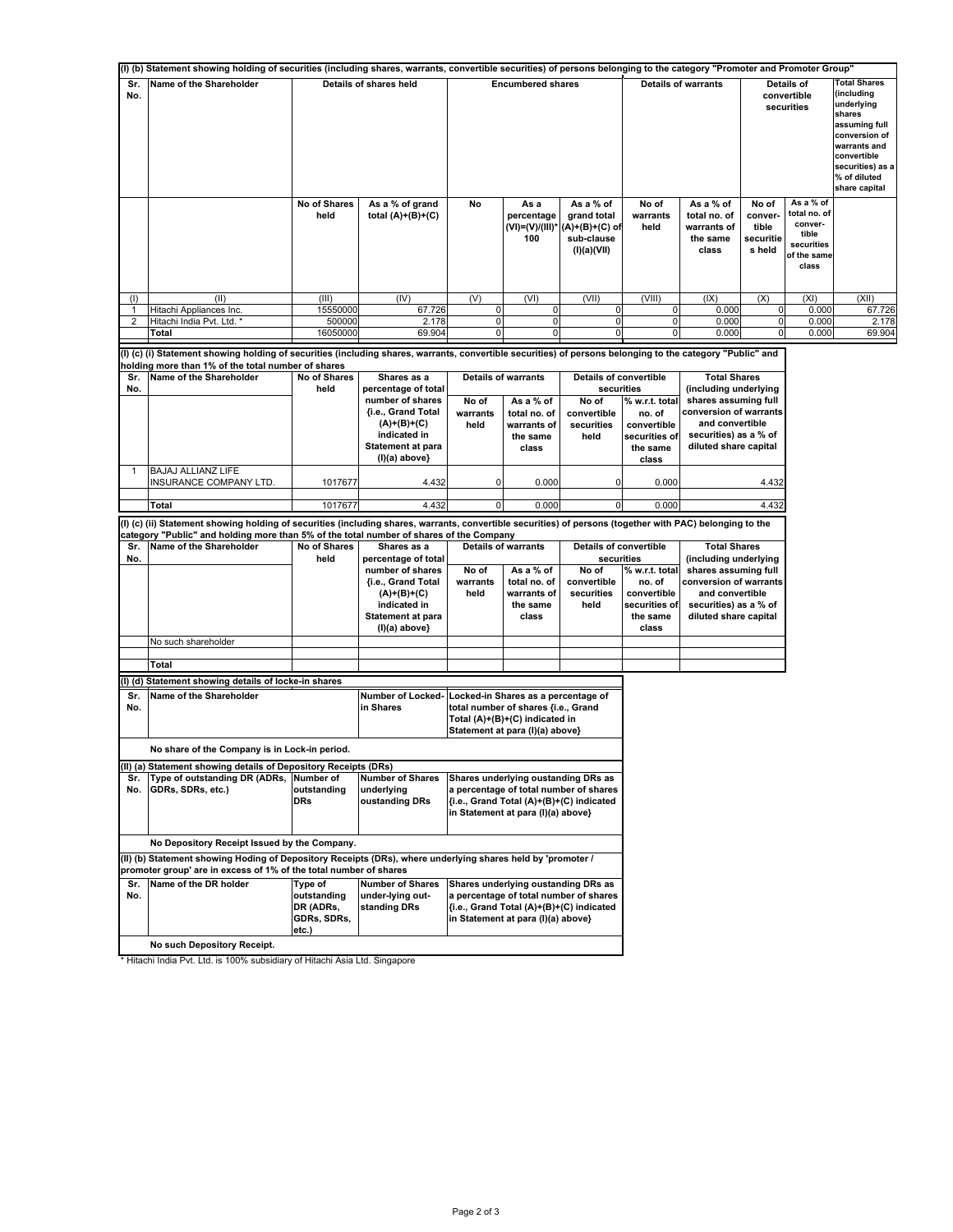|                | (I) (b) Statement showing holding of securities (including shares, warrants, convertible securities) of persons belonging to the category "Promoter and Promoter Group" |                          |                                             |                          |                                                                            |                                                                           |                            |                                                               |                                                  |                                                                                     |                                                                                                                                                                                 |
|----------------|-------------------------------------------------------------------------------------------------------------------------------------------------------------------------|--------------------------|---------------------------------------------|--------------------------|----------------------------------------------------------------------------|---------------------------------------------------------------------------|----------------------------|---------------------------------------------------------------|--------------------------------------------------|-------------------------------------------------------------------------------------|---------------------------------------------------------------------------------------------------------------------------------------------------------------------------------|
| Sr.<br>No.     | Name of the Shareholder                                                                                                                                                 | Details of shares held   |                                             | <b>Encumbered shares</b> |                                                                            |                                                                           | <b>Details of warrants</b> |                                                               | Details of<br>convertible<br>securities          |                                                                                     | <b>Total Shares</b><br>(including<br>underlying<br>shares<br>assuming full<br>conversion of<br>warrants and<br>convertible<br>securities) as a<br>% of diluted<br>share capital |
|                |                                                                                                                                                                         | No of Shares<br>held     | As a % of grand<br>total $(A)+(B)+(C)$      | No                       | As a<br>percentage<br>(VI)=(V)/(III)*<br>100                               | As a % of<br>grand total<br>$(A)+(B)+(C)$ of<br>sub-clause<br>(I)(a)(VII) | No of<br>warrants<br>held  | As a % of<br>total no. of<br>warrants of<br>the same<br>class | No of<br>conver-<br>tible<br>securitie<br>s held | As a % of<br>total no. of<br>conver-<br>tible<br>securities<br>of the same<br>class |                                                                                                                                                                                 |
| (1)            | (II)                                                                                                                                                                    | (III)                    | (IV)                                        | (V)                      | (VI)                                                                       | (VII)                                                                     | (VIII)                     | (IX)                                                          | (X)                                              | (XI)                                                                                | (XII)                                                                                                                                                                           |
|                | Hitachi Appliances Inc.                                                                                                                                                 | 15550000                 | 67.726                                      | 0                        | 0                                                                          | 0                                                                         | $\pmb{0}$                  | 0.000                                                         | 0                                                | 0.000                                                                               | 67.726                                                                                                                                                                          |
| $\overline{2}$ | Hitachi India Pvt. Ltd. *                                                                                                                                               | 500000                   | 2.178                                       | 0                        | 0                                                                          | 0<br>$\Omega$                                                             | 0<br>0                     | 0.000                                                         | 0                                                | 0.000                                                                               | 2.178                                                                                                                                                                           |
|                | Total                                                                                                                                                                   | 16050000                 | 69.904                                      | $\Omega$                 | ŋ                                                                          |                                                                           |                            | 0.000                                                         | 0                                                | 0.000                                                                               | 69.904                                                                                                                                                                          |
|                | (I) (c) (i) Statement showing holding of securities (including shares, warrants, convertible securities) of persons belonging to the category "Public" and              |                          |                                             |                          |                                                                            |                                                                           |                            |                                                               |                                                  |                                                                                     |                                                                                                                                                                                 |
|                | holding more than 1% of the total number of shares<br>Name of the Shareholder                                                                                           |                          |                                             |                          |                                                                            | <b>Details of convertible</b>                                             |                            | <b>Total Shares</b>                                           |                                                  |                                                                                     |                                                                                                                                                                                 |
| Sr.<br>No.     |                                                                                                                                                                         | No of Shares<br>held     | Shares as a<br>percentage of total          |                          | <b>Details of warrants</b>                                                 | securities                                                                |                            | (including underlying                                         |                                                  |                                                                                     |                                                                                                                                                                                 |
|                |                                                                                                                                                                         |                          | number of shares                            | No of                    | As a % of                                                                  | No of                                                                     | % w.r.t. total             | shares assuming full                                          |                                                  |                                                                                     |                                                                                                                                                                                 |
|                |                                                                                                                                                                         |                          | {i.e., Grand Total                          | warrants                 | total no. of                                                               | convertible                                                               | no. of                     | conversion of warrants                                        |                                                  |                                                                                     |                                                                                                                                                                                 |
|                |                                                                                                                                                                         |                          | $(A)+(B)+(C)$                               | held                     | warrants of                                                                | securities                                                                | convertible                | and convertible                                               |                                                  |                                                                                     |                                                                                                                                                                                 |
|                |                                                                                                                                                                         |                          | indicated in<br><b>Statement at para</b>    |                          | the same                                                                   | held                                                                      | securities of              | securities) as a % of<br>diluted share capital                |                                                  |                                                                                     |                                                                                                                                                                                 |
|                |                                                                                                                                                                         |                          | (I)(a) above}                               |                          | class                                                                      |                                                                           | the same<br>class          |                                                               |                                                  |                                                                                     |                                                                                                                                                                                 |
|                | <b>BAJAJ ALLIANZ LIFE</b>                                                                                                                                               |                          |                                             |                          |                                                                            |                                                                           |                            |                                                               |                                                  |                                                                                     |                                                                                                                                                                                 |
|                | INSURANCE COMPANY LTD.                                                                                                                                                  | 1017677                  | 4.432                                       | 0                        | 0.000                                                                      | 0                                                                         | 0.000                      |                                                               | 4.432                                            |                                                                                     |                                                                                                                                                                                 |
|                |                                                                                                                                                                         |                          |                                             |                          |                                                                            |                                                                           |                            |                                                               |                                                  |                                                                                     |                                                                                                                                                                                 |
|                | Total                                                                                                                                                                   | 1017677                  | 4.432                                       | 0                        | 0.000                                                                      | $\overline{0}$                                                            | 0.000                      |                                                               | 4.432                                            |                                                                                     |                                                                                                                                                                                 |
|                | (I) (c) (ii) Statement showing holding of securities (including shares, warrants, convertible securities) of persons (together with PAC) belonging to the               |                          |                                             |                          |                                                                            |                                                                           |                            |                                                               |                                                  |                                                                                     |                                                                                                                                                                                 |
|                | category "Public" and holding more than 5% of the total number of shares of the Company                                                                                 |                          |                                             |                          |                                                                            |                                                                           |                            |                                                               |                                                  |                                                                                     |                                                                                                                                                                                 |
| Sr.            | Name of the Shareholder                                                                                                                                                 | No of Shares<br>held     | Shares as a                                 |                          | <b>Details of warrants</b>                                                 | Details of convertible                                                    |                            | <b>Total Shares</b>                                           |                                                  |                                                                                     |                                                                                                                                                                                 |
| No.            |                                                                                                                                                                         |                          | percentage of total<br>number of shares     | No of                    | As a % of                                                                  | securities<br>No of                                                       | % w.r.t. total             | (including underlying<br>shares assuming full                 |                                                  |                                                                                     |                                                                                                                                                                                 |
|                |                                                                                                                                                                         |                          | {i.e., Grand Total                          | warrants                 | total no. of                                                               | convertible                                                               | no. of                     | conversion of warrants                                        |                                                  |                                                                                     |                                                                                                                                                                                 |
|                |                                                                                                                                                                         |                          | $(A)+(B)+(C)$                               | held                     | warrants of                                                                | securities                                                                | convertible                | and convertible                                               |                                                  |                                                                                     |                                                                                                                                                                                 |
|                |                                                                                                                                                                         |                          | indicated in                                |                          | the same                                                                   | held                                                                      | securities of              | securities) as a % of                                         |                                                  |                                                                                     |                                                                                                                                                                                 |
|                |                                                                                                                                                                         |                          | <b>Statement at para</b>                    |                          | class                                                                      |                                                                           | the same                   | diluted share capital                                         |                                                  |                                                                                     |                                                                                                                                                                                 |
|                |                                                                                                                                                                         |                          | $(I)(a)$ above}                             |                          |                                                                            |                                                                           | class                      |                                                               |                                                  |                                                                                     |                                                                                                                                                                                 |
|                | No such shareholder                                                                                                                                                     |                          |                                             |                          |                                                                            |                                                                           |                            |                                                               |                                                  |                                                                                     |                                                                                                                                                                                 |
|                | Total                                                                                                                                                                   |                          |                                             |                          |                                                                            |                                                                           |                            |                                                               |                                                  |                                                                                     |                                                                                                                                                                                 |
|                |                                                                                                                                                                         |                          |                                             |                          |                                                                            |                                                                           |                            |                                                               |                                                  |                                                                                     |                                                                                                                                                                                 |
|                | (I) (d) Statement showing details of locke-in shares                                                                                                                    |                          |                                             |                          |                                                                            |                                                                           |                            |                                                               |                                                  |                                                                                     |                                                                                                                                                                                 |
| Sr.<br>No.     | Name of the Shareholder                                                                                                                                                 |                          | <b>Number of Locked-</b><br>in Shares       |                          | Locked-in Shares as a percentage of<br>total number of shares {i.e., Grand |                                                                           |                            |                                                               |                                                  |                                                                                     |                                                                                                                                                                                 |
|                |                                                                                                                                                                         |                          |                                             |                          | Total (A)+(B)+(C) indicated in                                             |                                                                           |                            |                                                               |                                                  |                                                                                     |                                                                                                                                                                                 |
|                |                                                                                                                                                                         |                          |                                             |                          | Statement at para (I)(a) above}                                            |                                                                           |                            |                                                               |                                                  |                                                                                     |                                                                                                                                                                                 |
|                | No share of the Company is in Lock-in period.                                                                                                                           |                          |                                             |                          |                                                                            |                                                                           |                            |                                                               |                                                  |                                                                                     |                                                                                                                                                                                 |
|                |                                                                                                                                                                         |                          |                                             |                          |                                                                            |                                                                           |                            |                                                               |                                                  |                                                                                     |                                                                                                                                                                                 |
|                | (II) (a) Statement showing details of Depository Receipts (DRs)                                                                                                         |                          |                                             |                          |                                                                            |                                                                           |                            |                                                               |                                                  |                                                                                     |                                                                                                                                                                                 |
| Sr.            | Type of outstanding DR (ADRs,<br>No. GDRs, SDRs, etc.)                                                                                                                  | Number of<br>outstanding | <b>Number of Shares</b><br>underlying       |                          | Shares underlying oustanding DRs as                                        | a percentage of total number of shares                                    |                            |                                                               |                                                  |                                                                                     |                                                                                                                                                                                 |
|                |                                                                                                                                                                         | <b>DRs</b>               | oustanding DRs                              |                          |                                                                            | {i.e., Grand Total (A)+(B)+(C) indicated                                  |                            |                                                               |                                                  |                                                                                     |                                                                                                                                                                                 |
|                |                                                                                                                                                                         |                          |                                             |                          | in Statement at para (I)(a) above}                                         |                                                                           |                            |                                                               |                                                  |                                                                                     |                                                                                                                                                                                 |
|                |                                                                                                                                                                         |                          |                                             |                          |                                                                            |                                                                           |                            |                                                               |                                                  |                                                                                     |                                                                                                                                                                                 |
|                |                                                                                                                                                                         |                          |                                             |                          |                                                                            |                                                                           |                            |                                                               |                                                  |                                                                                     |                                                                                                                                                                                 |
|                | No Depository Receipt Issued by the Company.<br>(II) (b) Statement showing Hoding of Depository Receipts (DRs), where underlying shares held by 'promoter /             |                          |                                             |                          |                                                                            |                                                                           |                            |                                                               |                                                  |                                                                                     |                                                                                                                                                                                 |
|                |                                                                                                                                                                         |                          |                                             |                          |                                                                            |                                                                           |                            |                                                               |                                                  |                                                                                     |                                                                                                                                                                                 |
|                | promoter group' are in excess of 1% of the total number of shares<br>Name of the DR holder                                                                              |                          |                                             |                          |                                                                            |                                                                           |                            |                                                               |                                                  |                                                                                     |                                                                                                                                                                                 |
| Sr.<br>No.     |                                                                                                                                                                         | Type of<br>outstanding   | <b>Number of Shares</b><br>under-lying out- |                          | Shares underlying oustanding DRs as                                        | a percentage of total number of shares                                    |                            |                                                               |                                                  |                                                                                     |                                                                                                                                                                                 |
|                |                                                                                                                                                                         | DR (ADRs,                | standing DRs                                |                          |                                                                            | {i.e., Grand Total (A)+(B)+(C) indicated                                  |                            |                                                               |                                                  |                                                                                     |                                                                                                                                                                                 |
|                |                                                                                                                                                                         | GDRs, SDRs,              |                                             |                          | in Statement at para (I)(a) above}                                         |                                                                           |                            |                                                               |                                                  |                                                                                     |                                                                                                                                                                                 |
|                |                                                                                                                                                                         |                          |                                             |                          |                                                                            |                                                                           |                            |                                                               |                                                  |                                                                                     |                                                                                                                                                                                 |
|                |                                                                                                                                                                         | etc.)                    |                                             |                          |                                                                            |                                                                           |                            |                                                               |                                                  |                                                                                     |                                                                                                                                                                                 |

\* Hitachi India Pvt. Ltd. is 100% subsidiary of Hitachi Asia Ltd. Singapore